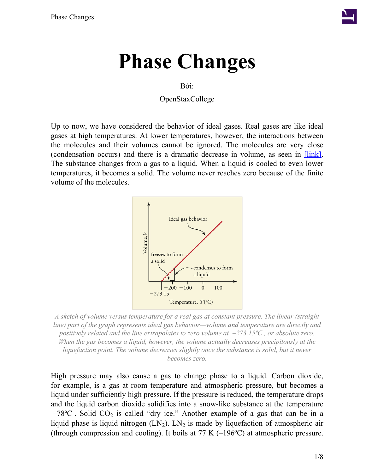

# **Phase Changes**

#### Bởi:

OpenStaxCollege

<span id="page-0-0"></span>Up to now, we have considered the behavior of ideal gases. Real gases are like ideal gases at high temperatures. At lower temperatures, however, the interactions between the molecules and their volumes cannot be ignored. The molecules are very close (condensation occurs) and there is a dramatic decrease in volume, as seen in [\[link\].](#page-0-0) The substance changes from a gas to a liquid. When a liquid is cooled to even lower temperatures, it becomes a solid. The volume never reaches zero because of the finite volume of the molecules.



*A sketch of volume versus temperature for a real gas at constant pressure. The linear (straight line) part of the graph represents ideal gas behavior—volume and temperature are directly and positively related and the line extrapolates to zero volume at –273.15ºC , or absolute zero. When the gas becomes a liquid, however, the volume actually decreases precipitously at the liquefaction point. The volume decreases slightly once the substance is solid, but it never becomes zero.*

High pressure may also cause a gas to change phase to a liquid. Carbon dioxide, for example, is a gas at room temperature and atmospheric pressure, but becomes a liquid under sufficiently high pressure. If the pressure is reduced, the temperature drops and the liquid carbon dioxide solidifies into a snow-like substance at the temperature  $-78^{\circ}$ C. Solid CO<sub>2</sub> is called "dry ice." Another example of a gas that can be in a liquid phase is liquid nitrogen  $(LN_2)$ .  $LN_2$  is made by liquefaction of atmospheric air (through compression and cooling). It boils at 77 K (–196ºC) at atmospheric pressure.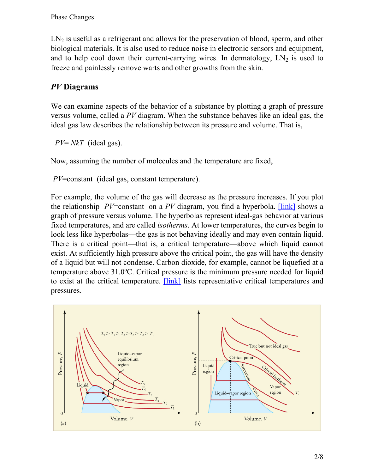$LN<sub>2</sub>$  is useful as a refrigerant and allows for the preservation of blood, sperm, and other biological materials. It is also used to reduce noise in electronic sensors and equipment, and to help cool down their current-carrying wires. In dermatology,  $LN_2$  is used to freeze and painlessly remove warts and other growths from the skin.

## *PV* **Diagrams**

We can examine aspects of the behavior of a substance by plotting a graph of pressure versus volume, called a *PV* diagram. When the substance behaves like an ideal gas, the ideal gas law describes the relationship between its pressure and volume. That is,

*PV*= *NkT* (ideal gas).

Now, assuming the number of molecules and the temperature are fixed,

*PV*=constant (ideal gas, constant temperature).

For example, the volume of the gas will decrease as the pressure increases. If you plot the relationship *PV*=constant on a *PV* diagram, you find a hyperbola. [\[link\]](#page-1-0) shows a graph of pressure versus volume. The hyperbolas represent ideal-gas behavior at various fixed temperatures, and are called *isotherms*. At lower temperatures, the curves begin to look less like hyperbolas—the gas is not behaving ideally and may even contain liquid. There is a critical point—that is, a critical temperature—above which liquid cannot exist. At sufficiently high pressure above the critical point, the gas will have the density of a liquid but will not condense. Carbon dioxide, for example, cannot be liquefied at a temperature above 31.0ºC. Critical pressure is the minimum pressure needed for liquid to exist at the critical temperature. **[\[link\]](#page-2-0)** lists representative critical temperatures and pressures.

<span id="page-1-0"></span>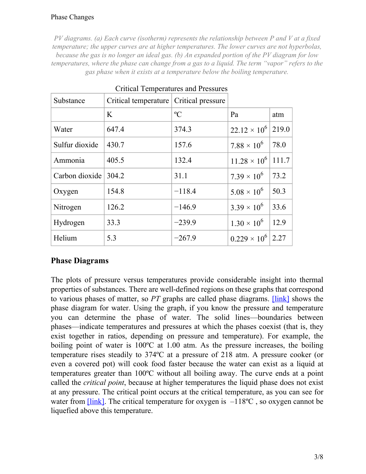#### Phase Changes

*PV diagrams. (a) Each curve (isotherm) represents the relationship between P and V at a fixed temperature; the upper curves are at higher temperatures. The lower curves are not hyperbolas, because the gas is no longer an ideal gas. (b) An expanded portion of the PV diagram for low temperatures, where the phase can change from a gas to a liquid. The term "vapor" refers to the gas phase when it exists at a temperature below the boiling temperature.*

<span id="page-2-0"></span>

| Substance      | Critical temperature   Critical pressure |             |                           |       |
|----------------|------------------------------------------|-------------|---------------------------|-------|
|                | K                                        | $\rm ^{o}C$ | Pa                        | atm   |
| Water          | 647.4                                    | 374.3       | $22.12 \times 10^6$ 219.0 |       |
| Sulfur dioxide | 430.7                                    | 157.6       | $7.88 \times 10^6$        | 78.0  |
| Ammonia        | 405.5                                    | 132.4       | $11.28 \times 10^6$       | 111.7 |
| Carbon dioxide | 304.2                                    | 31.1        | $7.39 \times 10^{6}$      | 73.2  |
| Oxygen         | 154.8                                    | $-118.4$    | $5.08 \times 10^{6}$      | 50.3  |
| Nitrogen       | 126.2                                    | $-146.9$    | $3.39 \times 10^{6}$      | 33.6  |
| Hydrogen       | 33.3                                     | $-239.9$    | $1.30 \times 10^{6}$      | 12.9  |
| Helium         | 5.3                                      | $-267.9$    | $0.229 \times 10^6$ 2.27  |       |

Critical Temperatures and Pressures

## **Phase Diagrams**

The plots of pressure versus temperatures provide considerable insight into thermal properties of substances. There are well-defined regions on these graphs that correspond to various phases of matter, so *PT* graphs are called phase diagrams. [\[link\]](#page-3-0) shows the phase diagram for water. Using the graph, if you know the pressure and temperature you can determine the phase of water. The solid lines—boundaries between phases—indicate temperatures and pressures at which the phases coexist (that is, they exist together in ratios, depending on pressure and temperature). For example, the boiling point of water is 100ºC at 1.00 atm. As the pressure increases, the boiling temperature rises steadily to 374ºC at a pressure of 218 atm. A pressure cooker (or even a covered pot) will cook food faster because the water can exist as a liquid at temperatures greater than 100ºC without all boiling away. The curve ends at a point called the *critical point*, because at higher temperatures the liquid phase does not exist at any pressure. The critical point occurs at the critical temperature, as you can see for water from  $\boxed{\text{link}}$ . The critical temperature for oxygen is  $-118^{\circ}\text{C}$ , so oxygen cannot be liquefied above this temperature.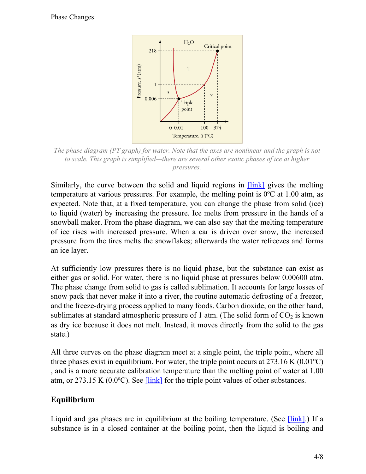

<span id="page-3-0"></span>*The phase diagram (PT graph) for water. Note that the axes are nonlinear and the graph is not to scale. This graph is simplified—there are several other exotic phases of ice at higher pressures.*

Similarly, the curve between the solid and liquid regions in **[\[link\]](#page-3-0)** gives the melting temperature at various pressures. For example, the melting point is  $0^{\circ}$ C at 1.00 atm, as expected. Note that, at a fixed temperature, you can change the phase from solid (ice) to liquid (water) by increasing the pressure. Ice melts from pressure in the hands of a snowball maker. From the phase diagram, we can also say that the melting temperature of ice rises with increased pressure. When a car is driven over snow, the increased pressure from the tires melts the snowflakes; afterwards the water refreezes and forms an ice layer.

At sufficiently low pressures there is no liquid phase, but the substance can exist as either gas or solid. For water, there is no liquid phase at pressures below 0.00600 atm. The phase change from solid to gas is called sublimation. It accounts for large losses of snow pack that never make it into a river, the routine automatic defrosting of a freezer, and the freeze-drying process applied to many foods. Carbon dioxide, on the other hand, sublimates at standard atmospheric pressure of 1 atm. (The solid form of  $CO<sub>2</sub>$  is known as dry ice because it does not melt. Instead, it moves directly from the solid to the gas state.)

All three curves on the phase diagram meet at a single point, the triple point, where all three phases exist in equilibrium. For water, the triple point occurs at  $273.16 \text{ K}$  (0.01<sup>o</sup>C) , and is a more accurate calibration temperature than the melting point of water at 1.00 atm, or 273.15 K (0.0°C). See  $\overline{\text{link}}$  for the triple point values of other substances.

## **Equilibrium**

Liquid and gas phases are in equilibrium at the boiling temperature. (See  $\lfloor \text{link} \rfloor$ .) If a substance is in a closed container at the boiling point, then the liquid is boiling and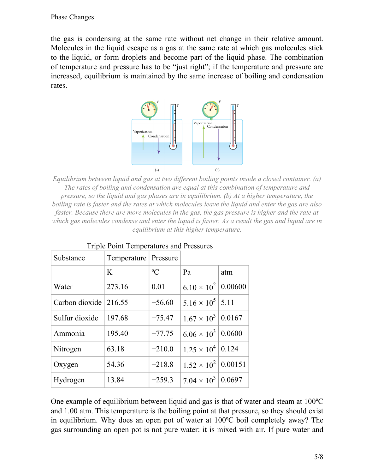<span id="page-4-1"></span>the gas is condensing at the same rate without net change in their relative amount. Molecules in the liquid escape as a gas at the same rate at which gas molecules stick to the liquid, or form droplets and become part of the liquid phase. The combination of temperature and pressure has to be "just right"; if the temperature and pressure are increased, equilibrium is maintained by the same increase of boiling and condensation rates.



*Equilibrium between liquid and gas at two different boiling points inside a closed container. (a) The rates of boiling and condensation are equal at this combination of temperature and pressure, so the liquid and gas phases are in equilibrium. (b) At a higher temperature, the boiling rate is faster and the rates at which molecules leave the liquid and enter the gas are also faster. Because there are more molecules in the gas, the gas pressure is higher and the rate at which gas molecules condense and enter the liquid is faster. As a result the gas and liquid are in equilibrium at this higher temperature.*

<span id="page-4-0"></span>

| Substance      | Temperature   Pressure |             |                             |     |
|----------------|------------------------|-------------|-----------------------------|-----|
|                | K                      | $\rm ^{o}C$ | Pa                          | atm |
| Water          | 273.16                 | 0.01        | $6.10 \times 10^2$ 0.00600  |     |
| Carbon dioxide | 216.55                 | $-56.60$    | $5.16 \times 10^5$ 5.11     |     |
| Sulfur dioxide | 197.68                 | $-75.47$    | $1.67 \times 10^3   0.0167$ |     |
| Ammonia        | 195.40                 | $-77.75$    | $6.06 \times 10^3$ 0.0600   |     |
| Nitrogen       | 63.18                  | $-210.0$    | $1.25 \times 10^4   0.124$  |     |
| Oxygen         | 54.36                  | $-218.8$    | $1.52 \times 10^2$ 0.00151  |     |
| Hydrogen       | 13.84                  | $-259.3$    | $7.04 \times 10^3   0.0697$ |     |

#### Triple Point Temperatures and Pressures

One example of equilibrium between liquid and gas is that of water and steam at 100ºC and 1.00 atm. This temperature is the boiling point at that pressure, so they should exist in equilibrium. Why does an open pot of water at 100ºC boil completely away? The gas surrounding an open pot is not pure water: it is mixed with air. If pure water and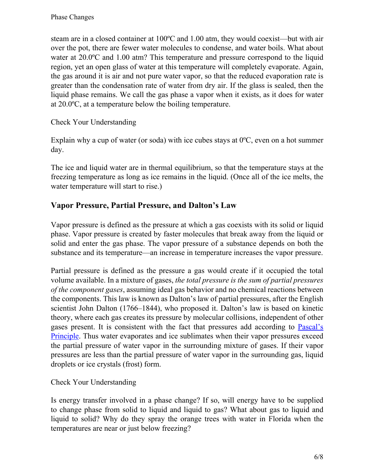steam are in a closed container at 100ºC and 1.00 atm, they would coexist—but with air over the pot, there are fewer water molecules to condense, and water boils. What about water at 20.0ºC and 1.00 atm? This temperature and pressure correspond to the liquid region, yet an open glass of water at this temperature will completely evaporate. Again, the gas around it is air and not pure water vapor, so that the reduced evaporation rate is greater than the condensation rate of water from dry air. If the glass is sealed, then the liquid phase remains. We call the gas phase a vapor when it exists, as it does for water at 20.0ºC, at a temperature below the boiling temperature.

## Check Your Understanding

Explain why a cup of water (or soda) with ice cubes stays at 0ºC, even on a hot summer day.

The ice and liquid water are in thermal equilibrium, so that the temperature stays at the freezing temperature as long as ice remains in the liquid. (Once all of the ice melts, the water temperature will start to rise.)

## **Vapor Pressure, Partial Pressure, and Dalton's Law**

Vapor pressure is defined as the pressure at which a gas coexists with its solid or liquid phase. Vapor pressure is created by faster molecules that break away from the liquid or solid and enter the gas phase. The vapor pressure of a substance depends on both the substance and its temperature—an increase in temperature increases the vapor pressure.

Partial pressure is defined as the pressure a gas would create if it occupied the total volume available. In a mixture of gases, *the total pressure is the sum of partial pressures of the component gases*, assuming ideal gas behavior and no chemical reactions between the components. This law is known as Dalton's law of partial pressures, after the English scientist John Dalton (1766–1844), who proposed it. Dalton's law is based on kinetic theory, where each gas creates its pressure by molecular collisions, independent of other gases present. It is consistent with the fact that pressures add according to [Pascal's](/m42193) [Principle.](/m42193) Thus water evaporates and ice sublimates when their vapor pressures exceed the partial pressure of water vapor in the surrounding mixture of gases. If their vapor pressures are less than the partial pressure of water vapor in the surrounding gas, liquid droplets or ice crystals (frost) form.

### Check Your Understanding

Is energy transfer involved in a phase change? If so, will energy have to be supplied to change phase from solid to liquid and liquid to gas? What about gas to liquid and liquid to solid? Why do they spray the orange trees with water in Florida when the temperatures are near or just below freezing?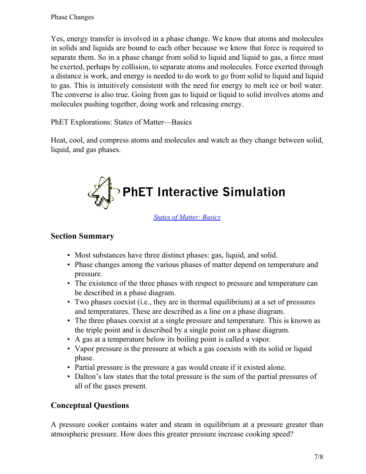Yes, energy transfer is involved in a phase change. We know that atoms and molecules in solids and liquids are bound to each other because we know that force is required to separate them. So in a phase change from solid to liquid and liquid to gas, a force must be exerted, perhaps by collision, to separate atoms and molecules. Force exerted through a distance is work, and energy is needed to do work to go from solid to liquid and liquid to gas. This is intuitively consistent with the need for energy to melt ice or boil water. The converse is also true. Going from gas to liquid or liquid to solid involves atoms and molecules pushing together, doing work and releasing energy.

PhET Explorations: States of Matter—Basics

Heat, cool, and compress atoms and molecules and watch as they change between solid, liquid, and gas phases.



*[States of Matter: Basics](http://phet.colorado.edu/en/simulation/states-of-matter-basics)*

# **Section Summary**

- Most substances have three distinct phases: gas, liquid, and solid.
- Phase changes among the various phases of matter depend on temperature and pressure.
- The existence of the three phases with respect to pressure and temperature can be described in a phase diagram.
- Two phases coexist (i.e., they are in thermal equilibrium) at a set of pressures and temperatures. These are described as a line on a phase diagram.
- The three phases coexist at a single pressure and temperature. This is known as the triple point and is described by a single point on a phase diagram.
- A gas at a temperature below its boiling point is called a vapor.
- Vapor pressure is the pressure at which a gas coexists with its solid or liquid phase.
- Partial pressure is the pressure a gas would create if it existed alone.
- Dalton's law states that the total pressure is the sum of the partial pressures of all of the gases present.

# **Conceptual Questions**

A pressure cooker contains water and steam in equilibrium at a pressure greater than atmospheric pressure. How does this greater pressure increase cooking speed?